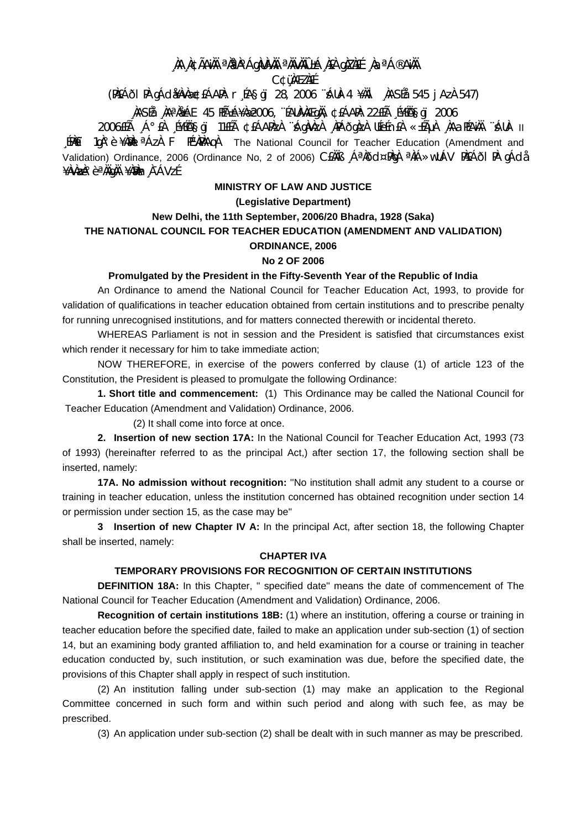# , ÀA A¢ÃAìÀ ªÀªÀ°ÁgÀUÀÀÀ ªÀïvÀÏÛ±Á À£À gÀZÀ£É , ÀaªÁ®AìÀÏ

**C¢üMEZNEE** 

(PAEÁÕI PA gÁdi¥AvAæ¢EÁAPA: r ÉA§gï 28, 2006 ^SÁUA-4 ¥AÄI , ÀASÉa 545 j AzÀ 547)

# NASÉå NAªNGÁE 45 HıÁ¥Næ2006, "ÉAUNANÆgNA, ¢£ÁAPN: 22£Éà É¥ÉÑA§gï 2006

11 -AUÀ " ANAH ALA ALAH SEARA ALAGO ANA ALANGA ARAADA DE ALA TELO TREAIH ALA ALA ALADOOC [PAET 10A° è ¥AM I ªÁzA F PEVAPAAQA The National Council for Teacher Education (Amendment and Validation) Ordinance, 2006 (Ordinance No, 2 of 2006) CEAAS A<sup>a</sup>Add¤PAA <sup>a</sup>AA>wUAV PAEAdI PA qAda ¥ÀvÀ**z**ˡèªÀÄqÀÄ ¥À?Àn À¯ÁVzÉ

# **MINISTRY OF LAW AND JUSTICE**

### (Legislative Department)

## New Delhi, the 11th September, 2006/20 Bhadra, 1928 (Saka) THE NATIONAL COUNCIL FOR TEACHER EDUCATION (AMENDMENT AND VALIDATION)

#### **ORDINANCE, 2006**

#### No 2 OF 2006

### Promulgated by the President in the Fifty-Seventh Year of the Republic of India

An Ordinance to amend the National Council for Teacher Education Act, 1993, to provide for validation of qualifications in teacher education obtained from certain institutions and to prescribe penalty for running unrecognised institutions, and for matters connected therewith or incidental thereto.

WHEREAS Parliament is not in session and the President is satisfied that circumstances exist which render it necessary for him to take immediate action;

NOW THEREFORE, in exercise of the powers conferred by clause (1) of article 123 of the Constitution, the President is pleased to promulgate the following Ordinance:

1. Short title and commencement: (1) This Ordinance may be called the National Council for Teacher Education (Amendment and Validation) Ordinance, 2006.

(2) It shall come into force at once.

2. Insertion of new section 17A: In the National Council for Teacher Education Act, 1993 (73 of 1993) (hereinafter referred to as the principal Act,) after section 17, the following section shall be inserted, namely:

17A. No admission without recognition: "No institution shall admit any student to a course or training in teacher education, unless the institution concerned has obtained recognition under section 14 or permission under section 15, as the case may be"

3 Insertion of new Chapter IV A: In the principal Act, after section 18, the following Chapter shall be inserted, namely:

### **CHAPTER IVA**

## TEMPORARY PROVISIONS FOR RECOGNITION OF CERTAIN INSTITUTIONS

**DEFINITION 18A:** In this Chapter, " specified date" means the date of commencement of The National Council for Teacher Education (Amendment and Validation) Ordinance, 2006.

Recognition of certain institutions 18B: (1) where an institution, offering a course or training in teacher education before the specified date, failed to make an application under sub-section (1) of section 14, but an examining body granted affiliation to, and held examination for a course or training in teacher education conducted by, such institution, or such examination was due, before the specified date, the provisions of this Chapter shall apply in respect of such institution.

(2) An institution falling under sub-section (1) may make an application to the Regional Committee concerned in such form and within such period and along with such fee, as may be prescribed.

(3) An application under sub-section (2) shall be dealt with in such manner as may be prescribed.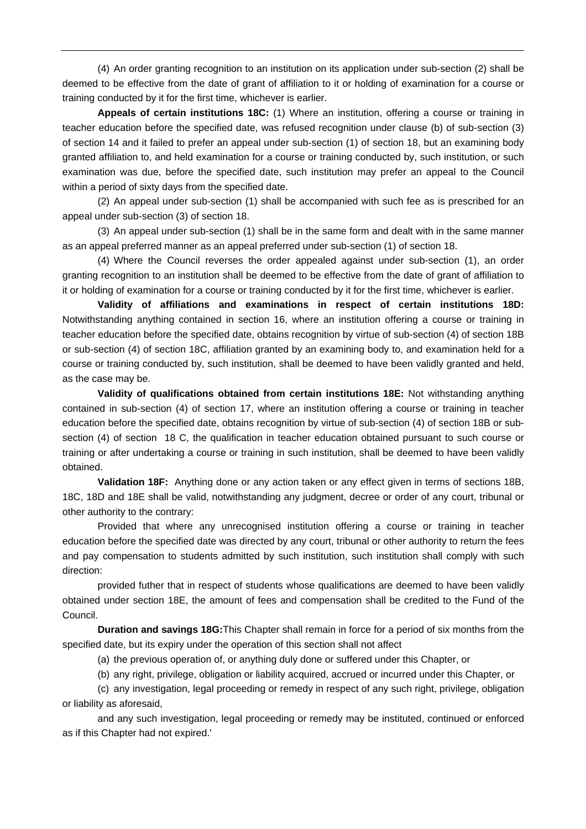(4) An order granting recognition to an institution on its application under sub-section (2) shall be deemed to be effective from the date of grant of affiliation to it or holding of examination for a course or training conducted by it for the first time, whichever is earlier.

**Appeals of certain institutions 18C:** (1) Where an institution, offering a course or training in teacher education before the specified date, was refused recognition under clause (b) of sub-section (3) of section 14 and it failed to prefer an appeal under sub-section (1) of section 18, but an examining body granted affiliation to, and held examination for a course or training conducted by, such institution, or such examination was due, before the specified date, such institution may prefer an appeal to the Council within a period of sixty days from the specified date.

 (2) An appeal under sub-section (1) shall be accompanied with such fee as is prescribed for an appeal under sub-section (3) of section 18.

 (3) An appeal under sub-section (1) shall be in the same form and dealt with in the same manner as an appeal preferred manner as an appeal preferred under sub-section (1) of section 18.

 (4) Where the Council reverses the order appealed against under sub-section (1), an order granting recognition to an institution shall be deemed to be effective from the date of grant of affiliation to it or holding of examination for a course or training conducted by it for the first time, whichever is earlier.

**Validity of affiliations and examinations in respect of certain institutions 18D:**  Notwithstanding anything contained in section 16, where an institution offering a course or training in teacher education before the specified date, obtains recognition by virtue of sub-section (4) of section 18B or sub-section (4) of section 18C, affiliation granted by an examining body to, and examination held for a course or training conducted by, such institution, shall be deemed to have been validly granted and held, as the case may be.

**Validity of qualifications obtained from certain institutions 18E:** Not withstanding anything contained in sub-section (4) of section 17, where an institution offering a course or training in teacher education before the specified date, obtains recognition by virtue of sub-section (4) of section 18B or subsection (4) of section 18 C, the qualification in teacher education obtained pursuant to such course or training or after undertaking a course or training in such institution, shall be deemed to have been validly obtained.

**Validation 18F:** Anything done or any action taken or any effect given in terms of sections 18B, 18C, 18D and 18E shall be valid, notwithstanding any judgment, decree or order of any court, tribunal or other authority to the contrary:

 Provided that where any unrecognised institution offering a course or training in teacher education before the specified date was directed by any court, tribunal or other authority to return the fees and pay compensation to students admitted by such institution, such institution shall comply with such direction:

 provided futher that in respect of students whose qualifications are deemed to have been validly obtained under section 18E, the amount of fees and compensation shall be credited to the Fund of the Council.

**Duration and savings 18G:**This Chapter shall remain in force for a period of six months from the specified date, but its expiry under the operation of this section shall not affect

(a) the previous operation of, or anything duly done or suffered under this Chapter, or

(b) any right, privilege, obligation or liability acquired, accrued or incurred under this Chapter, or

 (c) any investigation, legal proceeding or remedy in respect of any such right, privilege, obligation or liability as aforesaid,

 and any such investigation, legal proceeding or remedy may be instituted, continued or enforced as if this Chapter had not expired.'